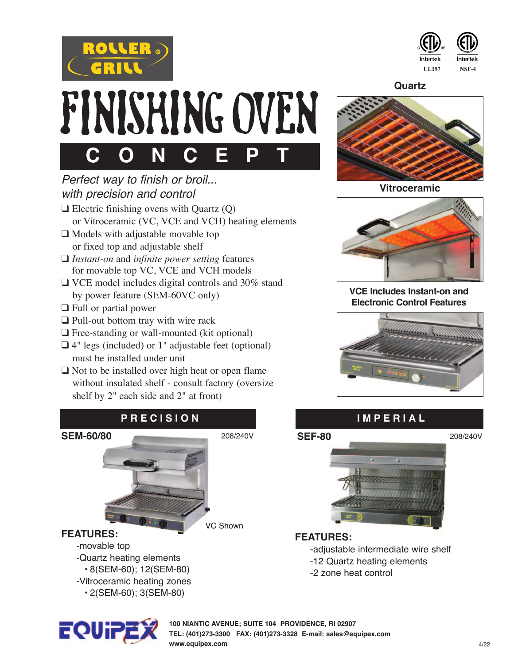



**Quartz**







**VCE Includes Instant-on and Electronic Control Features**







#### **FEATURES:**

 -adjustable intermediate wire shelf -12 Quartz heating elements -2 zone heat control

## *Perfect way to finish or broil... with precision and control*

 $\Box$  Electric finishing ovens with Quartz (Q) or Vitroceramic (VC, VCE and VCH) heating elements

 **C O N C E P T**

FINISHING OVEN

- $\Box$  Models with adjustable movable top or fixed top and adjustable shelf
- □ *Instant-on* and *infinite power setting* features for movable top VC, VCE and VCH models
- $\Box$  VCE model includes digital controls and 30% stand by power feature (SEM-60VC only)
- $\Box$  Full or partial power
- $\Box$  Pull-out bottom tray with wire rack
- $\Box$  Free-standing or wall-mounted (kit optional)
- $\Box$  4" legs (included) or 1" adjustable feet (optional) must be installed under unit
- $\Box$  Not to be installed over high heat or open flame without insulated shelf - consult factory (oversize shelf by 2" each side and 2" at front)





**100 NIANTIC AVENUE; SUITE 104 PROVIDENCE, RI 02907 TEL: (401)273-3300 FAX: (401)273-3328 E-mail: sales@equipex.com www.equipex.com**